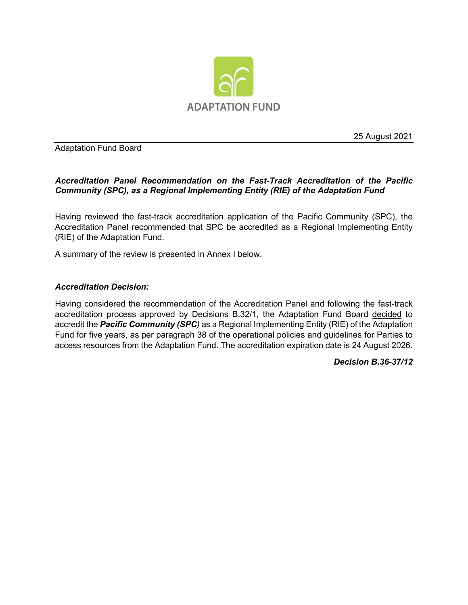

25 August 2021

Adaptation Fund Board

# *Accreditation Panel Recommendation on the Fast-Track Accreditation of the Pacific Community (SPC), as a Regional Implementing Entity (RIE) of the Adaptation Fund*

Having reviewed the fast-track accreditation application of the Pacific Community (SPC), the Accreditation Panel recommended that SPC be accredited as a Regional Implementing Entity (RIE) of the Adaptation Fund.

A summary of the review is presented in Annex I below.

# *Accreditation Decision:*

Having considered the recommendation of the Accreditation Panel and following the fast-track accreditation process approved by Decisions B.32/1, the Adaptation Fund Board decided to accredit the *Pacific Community (SPC)* as a Regional Implementing Entity (RIE) of the Adaptation Fund for five years, as per paragraph 38 of the operational policies and guidelines for Parties to access resources from the Adaptation Fund. The accreditation expiration date is 24 August 2026.

*Decision B.36-37/12*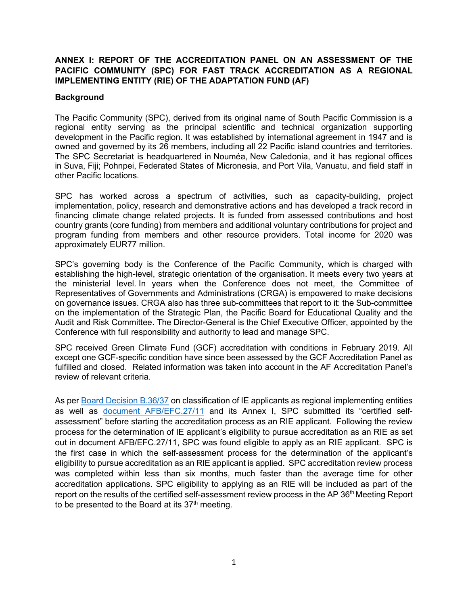# **ANNEX I: REPORT OF THE ACCREDITATION PANEL ON AN ASSESSMENT OF THE PACIFIC COMMUNITY (SPC) FOR FAST TRACK ACCREDITATION AS A REGIONAL IMPLEMENTING ENTITY (RIE) OF THE ADAPTATION FUND (AF)**

### **Background**

The Pacific Community (SPC), derived from its original name of South Pacific Commission is a regional entity serving as the principal scientific and technical organization supporting development in the Pacific region. It was established by international agreement in 1947 and is owned and governed by its 26 members, including all 22 Pacific island countries and territories. The SPC Secretariat is headquartered in Nouméa, New Caledonia, and it has regional offices in Suva, Fiji; Pohnpei, Federated States of Micronesia, and Port Vila, Vanuatu, and field staff in other Pacific locations.

SPC has worked across a spectrum of activities, such as capacity-building, project implementation, policy, research and demonstrative actions and has developed a track record in financing climate change related projects. It is funded from assessed contributions and host country grants (core funding) from members and additional voluntary contributions for project and program funding from members and other resource providers. Total income for 2020 was approximately EUR77 million.

SPC's governing body is the Conference of the Pacific Community, which is charged with establishing the high-level, strategic orientation of the organisation. It meets every two years at the ministerial level. In years when the Conference does not meet, the Committee of Representatives of Governments and Administrations (CRGA) is empowered to make decisions on governance issues. CRGA also has three sub-committees that report to it: the Sub-committee on the implementation of the Strategic Plan, the Pacific Board for Educational Quality and the Audit and Risk Committee. The Director-General is the Chief Executive Officer, appointed by the Conference with full responsibility and authority to lead and manage SPC.

SPC received Green Climate Fund (GCF) accreditation with conditions in February 2019. All except one GCF-specific condition have since been assessed by the GCF Accreditation Panel as fulfilled and closed. Related information was taken into account in the AF Accreditation Panel's review of relevant criteria.

As per [Board Decision B.36/37](https://www.adaptation-fund.org/wp-content/uploads/2021/06/AFB.B.36.10-Report-of-the-thirty-sixth-meeting-of-AFB-4-1.pdf) on classification of IE applicants as regional implementing entities as well as [document AFB/EFC.27/11](https://www.adaptation-fund.org/document/classification-of-implementing-entity-applicants-as-regional-implementing-entities-ries/) and its Annex I, SPC submitted its "certified selfassessment" before starting the accreditation process as an RIE applicant. Following the review process for the determination of IE applicant's eligibility to pursue accreditation as an RIE as set out in document AFB/EFC.27/11, SPC was found eligible to apply as an RIE applicant. SPC is the first case in which the self-assessment process for the determination of the applicant's eligibility to pursue accreditation as an RIE applicant is applied. SPC accreditation review process was completed within less than six months, much faster than the average time for other accreditation applications. SPC eligibility to applying as an RIE will be included as part of the report on the results of the certified self-assessment review process in the AP 36<sup>th</sup> Meeting Report to be presented to the Board at its  $37<sup>th</sup>$  meeting.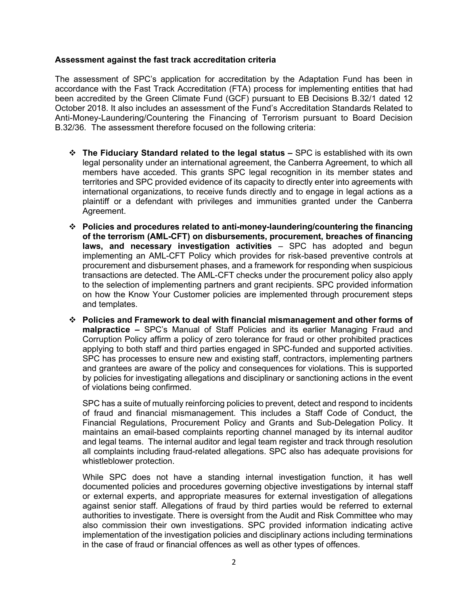### **Assessment against the fast track accreditation criteria**

The assessment of SPC's application for accreditation by the Adaptation Fund has been in accordance with the Fast Track Accreditation (FTA) process for implementing entities that had been accredited by the Green Climate Fund (GCF) pursuant to EB Decisions B.32/1 dated 12 October 2018. It also includes an assessment of the Fund's Accreditation Standards Related to Anti-Money-Laundering/Countering the Financing of Terrorism pursuant to Board Decision B.32/36. The assessment therefore focused on the following criteria:

- **The Fiduciary Standard related to the legal status –** SPC is established with its own legal personality under an international agreement, the Canberra Agreement, to which all members have acceded. This grants SPC legal recognition in its member states and territories and SPC provided evidence of its capacity to directly enter into agreements with international organizations, to receive funds directly and to engage in legal actions as a plaintiff or a defendant with privileges and immunities granted under the Canberra Agreement.
- **Policies and procedures related to anti-money-laundering/countering the financing of the terrorism (AML-CFT) on disbursements, procurement, breaches of financing laws, and necessary investigation activities** – SPC has adopted and begun implementing an AML-CFT Policy which provides for risk-based preventive controls at procurement and disbursement phases, and a framework for responding when suspicious transactions are detected. The AML-CFT checks under the procurement policy also apply to the selection of implementing partners and grant recipients. SPC provided information on how the Know Your Customer policies are implemented through procurement steps and templates.
- **Policies and Framework to deal with financial mismanagement and other forms of malpractice –** SPC's Manual of Staff Policies and its earlier Managing Fraud and Corruption Policy affirm a policy of zero tolerance for fraud or other prohibited practices applying to both staff and third parties engaged in SPC-funded and supported activities. SPC has processes to ensure new and existing staff, contractors, implementing partners and grantees are aware of the policy and consequences for violations. This is supported by policies for investigating allegations and disciplinary or sanctioning actions in the event of violations being confirmed.

SPC has a suite of mutually reinforcing policies to prevent, detect and respond to incidents of fraud and financial mismanagement. This includes a Staff Code of Conduct, the Financial Regulations, Procurement Policy and Grants and Sub-Delegation Policy. It maintains an email-based complaints reporting channel managed by its internal auditor and legal teams. The internal auditor and legal team register and track through resolution all complaints including fraud-related allegations. SPC also has adequate provisions for whistleblower protection.

While SPC does not have a standing internal investigation function, it has well documented policies and procedures governing objective investigations by internal staff or external experts, and appropriate measures for external investigation of allegations against senior staff. Allegations of fraud by third parties would be referred to external authorities to investigate. There is oversight from the Audit and Risk Committee who may also commission their own investigations. SPC provided information indicating active implementation of the investigation policies and disciplinary actions including terminations in the case of fraud or financial offences as well as other types of offences.